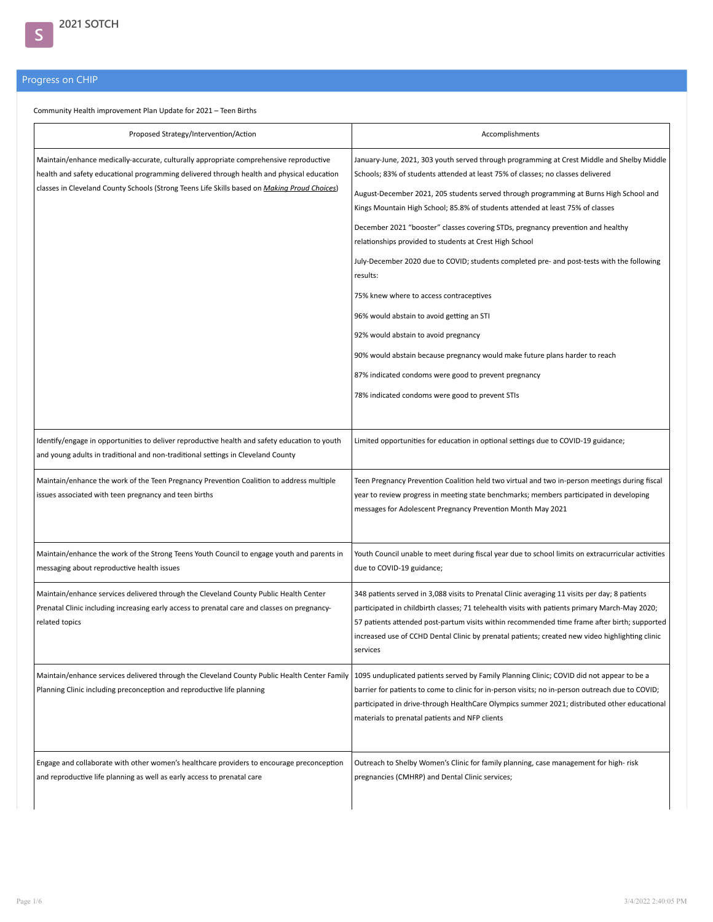## Progress on CHIP

S

Community Health improvement Plan Update for 2021 – Teen Births

| Proposed Strategy/Intervention/Action                                                                                                                                                                                                                                               | Accomplishments                                                                                                                                                                                                                                                                                                                                                                                                                                                                                                                                                                                                                                                                                                                                                                                                                                                                                                                             |
|-------------------------------------------------------------------------------------------------------------------------------------------------------------------------------------------------------------------------------------------------------------------------------------|---------------------------------------------------------------------------------------------------------------------------------------------------------------------------------------------------------------------------------------------------------------------------------------------------------------------------------------------------------------------------------------------------------------------------------------------------------------------------------------------------------------------------------------------------------------------------------------------------------------------------------------------------------------------------------------------------------------------------------------------------------------------------------------------------------------------------------------------------------------------------------------------------------------------------------------------|
| Maintain/enhance medically-accurate, culturally appropriate comprehensive reproductive<br>health and safety educational programming delivered through health and physical education<br>classes in Cleveland County Schools (Strong Teens Life Skills based on Making Proud Choices) | January-June, 2021, 303 youth served through programming at Crest Middle and Shelby Middle<br>Schools; 83% of students attended at least 75% of classes; no classes delivered<br>August-December 2021, 205 students served through programming at Burns High School and<br>Kings Mountain High School; 85.8% of students attended at least 75% of classes<br>December 2021 "booster" classes covering STDs, pregnancy prevention and healthy<br>relationships provided to students at Crest High School<br>July-December 2020 due to COVID; students completed pre- and post-tests with the following<br>results:<br>75% knew where to access contraceptives<br>96% would abstain to avoid getting an STI<br>92% would abstain to avoid pregnancy<br>90% would abstain because pregnancy would make future plans harder to reach<br>87% indicated condoms were good to prevent pregnancy<br>78% indicated condoms were good to prevent STIs |
| Identify/engage in opportunities to deliver reproductive health and safety education to youth<br>and young adults in traditional and non-traditional settings in Cleveland County                                                                                                   | Limited opportunities for education in optional settings due to COVID-19 guidance;                                                                                                                                                                                                                                                                                                                                                                                                                                                                                                                                                                                                                                                                                                                                                                                                                                                          |
| Maintain/enhance the work of the Teen Pregnancy Prevention Coalition to address multiple<br>issues associated with teen pregnancy and teen births                                                                                                                                   | Teen Pregnancy Prevention Coalition held two virtual and two in-person meetings during fiscal<br>year to review progress in meeting state benchmarks; members participated in developing<br>messages for Adolescent Pregnancy Prevention Month May 2021                                                                                                                                                                                                                                                                                                                                                                                                                                                                                                                                                                                                                                                                                     |
| Maintain/enhance the work of the Strong Teens Youth Council to engage youth and parents in<br>messaging about reproductive health issues                                                                                                                                            | Youth Council unable to meet during fiscal year due to school limits on extracurricular activities<br>due to COVID-19 guidance;                                                                                                                                                                                                                                                                                                                                                                                                                                                                                                                                                                                                                                                                                                                                                                                                             |
| Maintain/enhance services delivered through the Cleveland County Public Health Center<br>Prenatal Clinic including increasing early access to prenatal care and classes on pregnancy-<br>related topics                                                                             | 348 patients served in 3,088 visits to Prenatal Clinic averaging 11 visits per day; 8 patients<br>participated in childbirth classes; 71 telehealth visits with patients primary March-May 2020;<br>57 patients attended post-partum visits within recommended time frame after birth; supported<br>increased use of CCHD Dental Clinic by prenatal patients; created new video highlighting clinic<br>services                                                                                                                                                                                                                                                                                                                                                                                                                                                                                                                             |
| Maintain/enhance services delivered through the Cleveland County Public Health Center Family<br>Planning Clinic including preconception and reproductive life planning                                                                                                              | 1095 unduplicated patients served by Family Planning Clinic; COVID did not appear to be a<br>barrier for patients to come to clinic for in-person visits; no in-person outreach due to COVID;<br>participated in drive-through HealthCare Olympics summer 2021; distributed other educational<br>materials to prenatal patients and NFP clients                                                                                                                                                                                                                                                                                                                                                                                                                                                                                                                                                                                             |
| Engage and collaborate with other women's healthcare providers to encourage preconception<br>and reproductive life planning as well as early access to prenatal care                                                                                                                | Outreach to Shelby Women's Clinic for family planning, case management for high-risk<br>pregnancies (CMHRP) and Dental Clinic services;                                                                                                                                                                                                                                                                                                                                                                                                                                                                                                                                                                                                                                                                                                                                                                                                     |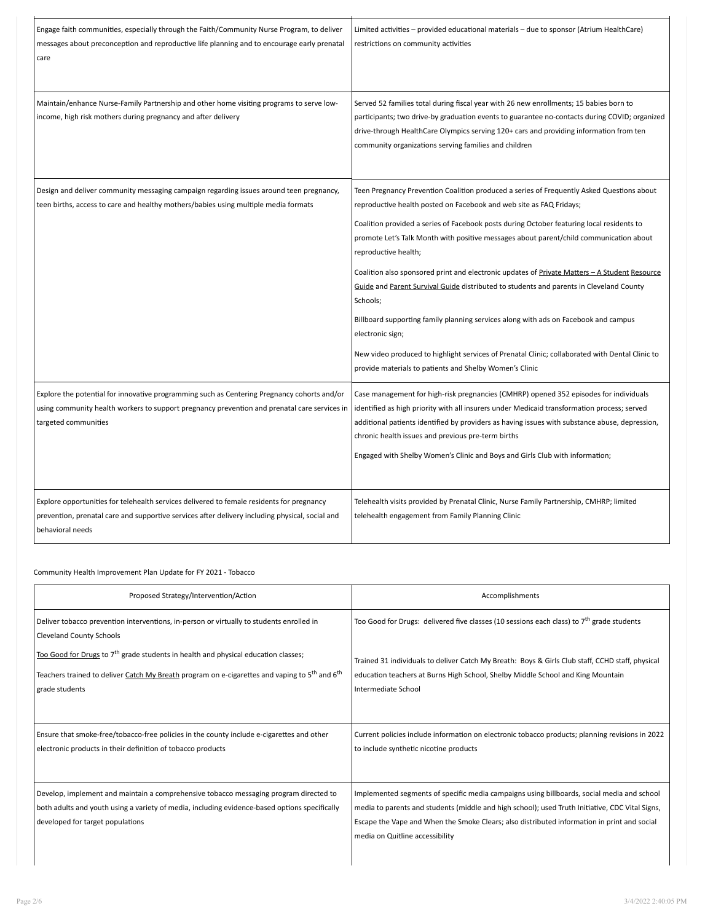| Engage faith communities, especially through the Faith/Community Nurse Program, to deliver<br>messages about preconception and reproductive life planning and to encourage early prenatal<br>care                   | Limited activities - provided educational materials - due to sponsor (Atrium HealthCare)<br>restrictions on community activities                                                                                                                                                                                                                                                                                                                                                                                                                                                                                                                                                                                                                                                                                                                                 |
|---------------------------------------------------------------------------------------------------------------------------------------------------------------------------------------------------------------------|------------------------------------------------------------------------------------------------------------------------------------------------------------------------------------------------------------------------------------------------------------------------------------------------------------------------------------------------------------------------------------------------------------------------------------------------------------------------------------------------------------------------------------------------------------------------------------------------------------------------------------------------------------------------------------------------------------------------------------------------------------------------------------------------------------------------------------------------------------------|
| Maintain/enhance Nurse-Family Partnership and other home visiting programs to serve low-<br>income, high risk mothers during pregnancy and after delivery                                                           | Served 52 families total during fiscal year with 26 new enrollments; 15 babies born to<br>participants; two drive-by graduation events to guarantee no-contacts during COVID; organized<br>drive-through HealthCare Olympics serving 120+ cars and providing information from ten<br>community organizations serving families and children                                                                                                                                                                                                                                                                                                                                                                                                                                                                                                                       |
| Design and deliver community messaging campaign regarding issues around teen pregnancy,<br>teen births, access to care and healthy mothers/babies using multiple media formats                                      | Teen Pregnancy Prevention Coalition produced a series of Frequently Asked Questions about<br>reproductive health posted on Facebook and web site as FAQ Fridays;<br>Coalition provided a series of Facebook posts during October featuring local residents to<br>promote Let's Talk Month with positive messages about parent/child communication about<br>reproductive health;<br>Coalition also sponsored print and electronic updates of Private Matters - A Student Resource<br>Guide and Parent Survival Guide distributed to students and parents in Cleveland County<br>Schools;<br>Billboard supporting family planning services along with ads on Facebook and campus<br>electronic sign;<br>New video produced to highlight services of Prenatal Clinic; collaborated with Dental Clinic to<br>provide materials to patients and Shelby Women's Clinic |
| Explore the potential for innovative programming such as Centering Pregnancy cohorts and/or<br>using community health workers to support pregnancy prevention and prenatal care services in<br>targeted communities | Case management for high-risk pregnancies (CMHRP) opened 352 episodes for individuals<br>identified as high priority with all insurers under Medicaid transformation process; served<br>additional patients identified by providers as having issues with substance abuse, depression,<br>chronic health issues and previous pre-term births<br>Engaged with Shelby Women's Clinic and Boys and Girls Club with information;                                                                                                                                                                                                                                                                                                                                                                                                                                     |
| Explore opportunities for telehealth services delivered to female residents for pregnancy<br>prevention, prenatal care and supportive services after delivery including physical, social and<br>behavioral needs    | Telehealth visits provided by Prenatal Clinic, Nurse Family Partnership, CMHRP; limited<br>telehealth engagement from Family Planning Clinic                                                                                                                                                                                                                                                                                                                                                                                                                                                                                                                                                                                                                                                                                                                     |

Community Health Improvement Plan Update for FY 2021 - Tobacco

| Proposed Strategy/Intervention/Action                                                                                                                                                                                                                                                                                                                                    | Accomplishments                                                                                                                                                                                                                                                                                                                 |  |  |
|--------------------------------------------------------------------------------------------------------------------------------------------------------------------------------------------------------------------------------------------------------------------------------------------------------------------------------------------------------------------------|---------------------------------------------------------------------------------------------------------------------------------------------------------------------------------------------------------------------------------------------------------------------------------------------------------------------------------|--|--|
| Deliver tobacco prevention interventions, in-person or virtually to students enrolled in<br><b>Cleveland County Schools</b><br>Too Good for Drugs to 7 <sup>th</sup> grade students in health and physical education classes;<br>Teachers trained to deliver Catch My Breath program on e-cigarettes and vaping to 5 <sup>th</sup> and 6 <sup>th</sup><br>grade students | Too Good for Drugs: delivered five classes (10 sessions each class) to $7^{th}$ grade students<br>Trained 31 individuals to deliver Catch My Breath: Boys & Girls Club staff, CCHD staff, physical<br>education teachers at Burns High School, Shelby Middle School and King Mountain<br>Intermediate School                    |  |  |
| Ensure that smoke-free/tobacco-free policies in the county include e-cigarettes and other<br>electronic products in their definition of tobacco products                                                                                                                                                                                                                 | Current policies include information on electronic tobacco products; planning revisions in 2022<br>to include synthetic nicotine products                                                                                                                                                                                       |  |  |
| Develop, implement and maintain a comprehensive tobacco messaging program directed to<br>both adults and youth using a variety of media, including evidence-based options specifically<br>developed for target populations                                                                                                                                               | Implemented segments of specific media campaigns using billboards, social media and school<br>media to parents and students (middle and high school); used Truth Initiative, CDC Vital Signs,<br>Escape the Vape and When the Smoke Clears; also distributed information in print and social<br>media on Quitline accessibility |  |  |

Ē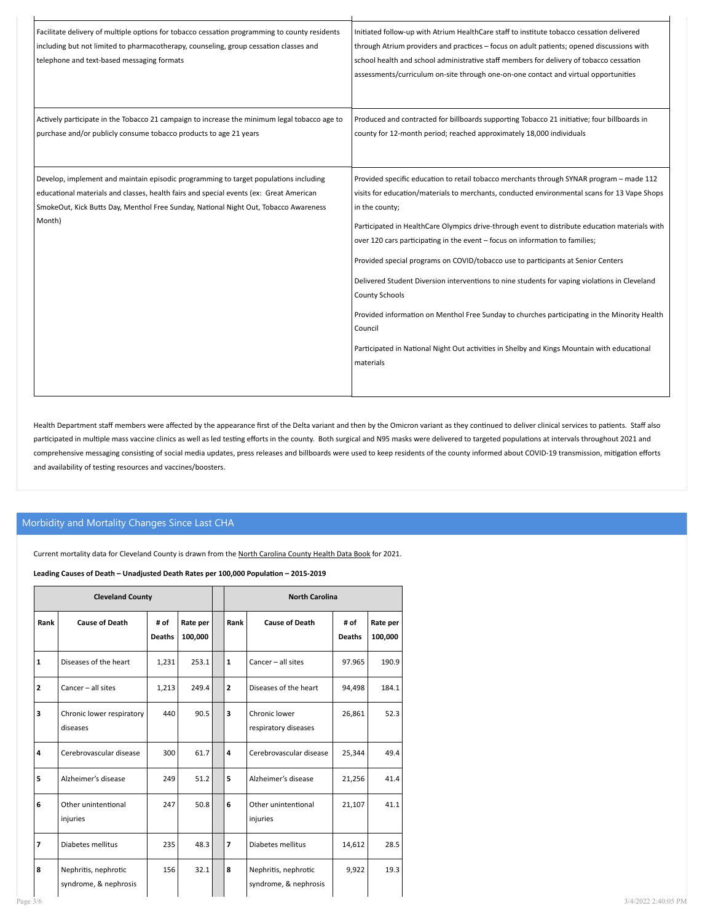| Facilitate delivery of multiple options for tobacco cessation programming to county residents<br>including but not limited to pharmacotherapy, counseling, group cessation classes and | Initiated follow-up with Atrium HealthCare staff to institute tobacco cessation delivered<br>through Atrium providers and practices - focus on adult patients; opened discussions with |
|----------------------------------------------------------------------------------------------------------------------------------------------------------------------------------------|----------------------------------------------------------------------------------------------------------------------------------------------------------------------------------------|
| telephone and text-based messaging formats                                                                                                                                             | school health and school administrative staff members for delivery of tobacco cessation                                                                                                |
|                                                                                                                                                                                        | assessments/curriculum on-site through one-on-one contact and virtual opportunities                                                                                                    |
|                                                                                                                                                                                        |                                                                                                                                                                                        |
|                                                                                                                                                                                        |                                                                                                                                                                                        |
| Actively participate in the Tobacco 21 campaign to increase the minimum legal tobacco age to                                                                                           | Produced and contracted for billboards supporting Tobacco 21 initiative; four billboards in                                                                                            |
| purchase and/or publicly consume tobacco products to age 21 years                                                                                                                      | county for 12-month period; reached approximately 18,000 individuals                                                                                                                   |
|                                                                                                                                                                                        |                                                                                                                                                                                        |
|                                                                                                                                                                                        |                                                                                                                                                                                        |
| Develop, implement and maintain episodic programming to target populations including                                                                                                   | Provided specific education to retail tobacco merchants through SYNAR program - made 112                                                                                               |
| educational materials and classes, health fairs and special events (ex: Great American                                                                                                 | visits for education/materials to merchants, conducted environmental scans for 13 Vape Shops                                                                                           |
| SmokeOut, Kick Butts Day, Menthol Free Sunday, National Night Out, Tobacco Awareness                                                                                                   | in the county;                                                                                                                                                                         |
| Month)                                                                                                                                                                                 | Participated in HealthCare Olympics drive-through event to distribute education materials with                                                                                         |
|                                                                                                                                                                                        | over 120 cars participating in the event - focus on information to families;                                                                                                           |
|                                                                                                                                                                                        | Provided special programs on COVID/tobacco use to participants at Senior Centers                                                                                                       |
|                                                                                                                                                                                        | Delivered Student Diversion interventions to nine students for vaping violations in Cleveland                                                                                          |
|                                                                                                                                                                                        | <b>County Schools</b>                                                                                                                                                                  |
|                                                                                                                                                                                        | Provided information on Menthol Free Sunday to churches participating in the Minority Health                                                                                           |
|                                                                                                                                                                                        | Council                                                                                                                                                                                |
|                                                                                                                                                                                        | Participated in National Night Out activities in Shelby and Kings Mountain with educational                                                                                            |
|                                                                                                                                                                                        | materials                                                                                                                                                                              |
|                                                                                                                                                                                        |                                                                                                                                                                                        |
|                                                                                                                                                                                        |                                                                                                                                                                                        |

Health Department staff members were affected by the appearance first of the Delta variant and then by the Omicron variant as they continued to deliver clinical services to patients. Staff also participated in multiple mass vaccine clinics as well as led testing efforts in the county. Both surgical and N95 masks were delivered to targeted populations at intervals throughout 2021 and comprehensive messaging consisting of social media updates, press releases and billboards were used to keep residents of the county informed about COVID-19 transmission, mitigation efforts and availability of testing resources and vaccines/boosters.

## Morbidity and Mortality Changes Since Last CHA

Current mortality data for Cleveland County is drawn from the North Carolina County Health Data Book for 2021.

## Leading Causes of Death – Unadjusted Death Rates per 100,000 Population – 2015-2019

|                | <b>Cleveland County</b>                       |                       |                     | <b>North Carolina</b> |                                               |                       |                     |
|----------------|-----------------------------------------------|-----------------------|---------------------|-----------------------|-----------------------------------------------|-----------------------|---------------------|
| Rank           | <b>Cause of Death</b>                         | # of<br><b>Deaths</b> | Rate per<br>100,000 | Rank                  | <b>Cause of Death</b>                         | # of<br><b>Deaths</b> | Rate per<br>100,000 |
| $\mathbf{1}$   | Diseases of the heart                         | 1,231                 | 253.1               | $\mathbf{1}$          | Cancer - all sites                            | 97.965                | 190.9               |
| $\mathbf{2}$   | Cancer - all sites                            | 1,213                 | 249.4               | $\overline{2}$        | Diseases of the heart                         | 94,498                | 184.1               |
| 3              | Chronic lower respiratory<br>diseases         | 440                   | 90.5                | 3                     | Chronic lower<br>respiratory diseases         | 26,861                | 52.3                |
| 4              | Cerebrovascular disease                       | 300                   | 61.7                | 4                     | Cerebrovascular disease                       | 25,344                | 49.4                |
| 5              | Alzheimer's disease                           | 249                   | 51.2                | 5                     | Alzheimer's disease                           | 21,256                | 41.4                |
| 6              | Other unintentional<br>injuries               | 247                   | 50.8                | 6                     | Other unintentional<br>injuries               | 21,107                | 41.1                |
| $\overline{7}$ | Diabetes mellitus                             | 235                   | 48.3                | $\overline{ }$        | Diabetes mellitus                             | 14,612                | 28.5                |
| 8              | Nephritis, nephrotic<br>syndrome, & nephrosis | 156                   | 32.1                | 8                     | Nephritis, nephrotic<br>syndrome, & nephrosis | 9,922                 | 19.3                |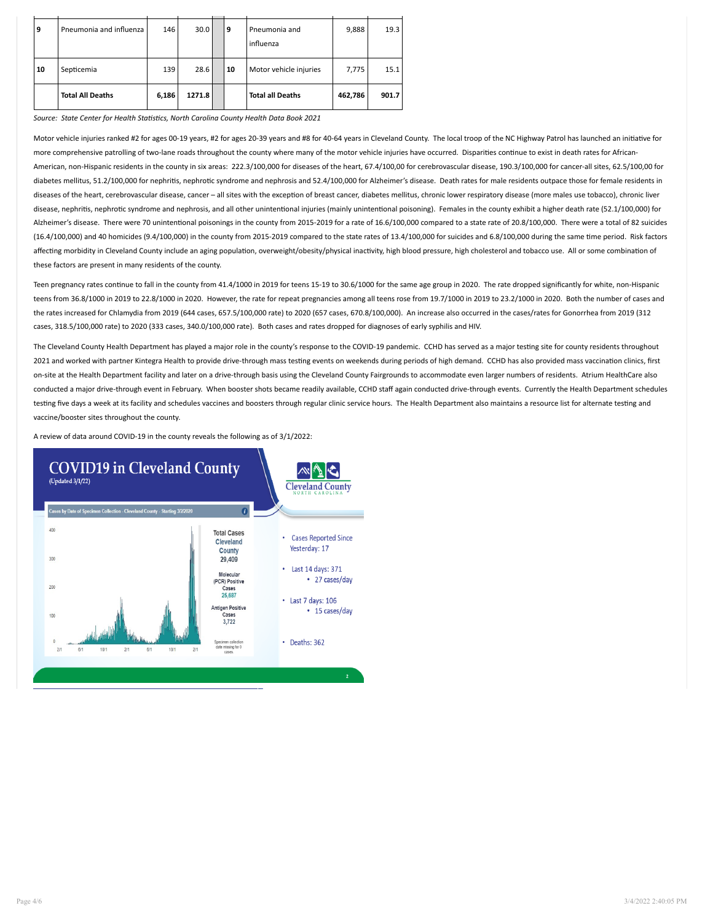|    | <b>Total All Deaths</b> | 6,186 | 1271.8 |    | <b>Total all Deaths</b>    | 462,786 | 901.7 |
|----|-------------------------|-------|--------|----|----------------------------|---------|-------|
| 10 | Septicemia              | 139   | 28.6   | 10 | Motor vehicle injuries     | 7,775   | 15.1  |
| 9  | Pneumonia and influenza | 146   | 30.0   | 9  | Pneumonia and<br>influenza | 9,888   | 19.3  |

Source: State Center for Health Statistics, North Carolina County Health Data Book 2021

Motor vehicle injuries ranked #2 for ages 00-19 years, #2 for ages 20-39 years and #8 for 40-64 years in Cleveland County. The local troop of the NC Highway Patrol has launched an initiative for more comprehensive patrolling of two-lane roads throughout the county where many of the motor vehicle injuries have occurred. Disparities continue to exist in death rates for African-American, non-Hispanic residents in the county in six areas: 222.3/100,000 for diseases of the heart, 67.4/100,00 for cerebrovascular disease, 190.3/100,000 for cancer-all sites, 62.5/100,00 for diabetes mellitus, 51.2/100,000 for nephritis, nephrotic syndrome and nephrosis and 52.4/100,000 for Alzheimer's disease. Death rates for male residents outpace those for female residents in diseases of the heart, cerebrovascular disease, cancer – all sites with the exception of breast cancer, diabetes mellitus, chronic lower respiratory disease (more males use tobacco), chronic liver disease, nephritis, nephrotic syndrome and nephrosis, and all other unintentional injuries (mainly unintentional poisoning). Females in the county exhibit a higher death rate (52.1/100,000) for Alzheimer's disease. There were 70 unintentional poisonings in the county from 2015-2019 for a rate of 16.6/100,000 compared to a state rate of 20.8/100,000. There were a total of 82 suicides (16.4/100,000) and 40 homicides (9.4/100,000) in the county from 2015-2019 compared to the state rates of 13.4/100,000 for suicides and 6.8/100,000 during the same me period. Risk factors affecting morbidity in Cleveland County include an aging population, overweight/obesity/physical inactivity, high blood pressure, high cholesterol and tobacco use. All or some combination of these factors are present in many residents of the county.

Teen pregnancy rates continue to fall in the county from 41.4/1000 in 2019 for teens 15-19 to 30.6/1000 for the same age group in 2020. The rate dropped significantly for white, non-Hispanic teens from 36.8/1000 in 2019 to 22.8/1000 in 2020. However, the rate for repeat pregnancies among all teens rose from 19.7/1000 in 2019 to 23.2/1000 in 2020. Both the number of cases and the rates increased for Chlamydia from 2019 (644 cases, 657.5/100,000 rate) to 2020 (657 cases, 670.8/100,000). An increase also occurred in the cases/rates for Gonorrhea from 2019 (312 cases, 318.5/100,000 rate) to 2020 (333 cases, 340.0/100,000 rate). Both cases and rates dropped for diagnoses of early syphilis and HIV.

The Cleveland County Health Department has played a major role in the county's response to the COVID-19 pandemic. CCHD has served as a major testing site for county residents throughout 2021 and worked with partner Kintegra Health to provide drive-through mass testing events on weekends during periods of high demand. CCHD has also provided mass vaccination clinics, first on-site at the Health Department facility and later on a drive-through basis using the Cleveland County Fairgrounds to accommodate even larger numbers of residents. Atrium HealthCare also conducted a major drive-through event in February. When booster shots became readily available, CCHD staff again conducted drive-through events. Currently the Health Department schedules testing five days a week at its facility and schedules vaccines and boosters through regular clinic service hours. The Health Department also maintains a resource list for alternate testing and vaccine/booster sites throughout the county.

A review of data around COVID-19 in the county reveals the following as of 3/1/2022:

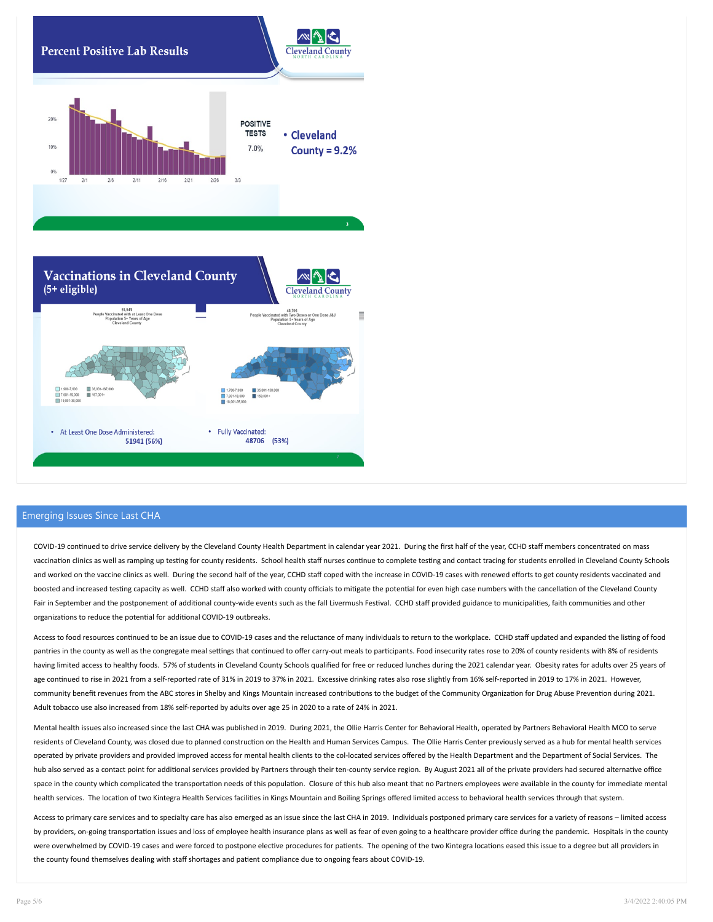

## Emerging Issues Since Last CHA

COVID-19 continued to drive service delivery by the Cleveland County Health Department in calendar year 2021. During the first half of the year, CCHD staff members concentrated on mass vaccination clinics as well as ramping up testing for county residents. School health staff nurses continue to complete testing and contact tracing for students enrolled in Cleveland County Schools and worked on the vaccine clinics as well. During the second half of the year, CCHD staff coped with the increase in COVID-19 cases with renewed efforts to get county residents vaccinated and boosted and increased testing capacity as well. CCHD staff also worked with county officials to mitigate the potential for even high case numbers with the cancellation of the Cleveland County Fair in September and the postponement of additional county-wide events such as the fall Livermush Festival. CCHD staff provided guidance to municipalities, faith communities and other organizations to reduce the potential for additional COVID-19 outbreaks.

Access to food resources continued to be an issue due to COVID-19 cases and the reluctance of many individuals to return to the workplace. CCHD staff updated and expanded the listing of food pantries in the county as well as the congregate meal settings that continued to offer carry-out meals to participants. Food insecurity rates rose to 20% of county residents with 8% of residents having limited access to healthy foods. 57% of students in Cleveland County Schools qualified for free or reduced lunches during the 2021 calendar year. Obesity rates for adults over 25 years of age continued to rise in 2021 from a self-reported rate of 31% in 2019 to 37% in 2021. Excessive drinking rates also rose slightly from 16% self-reported in 2019 to 17% in 2021. However, community benefit revenues from the ABC stores in Shelby and Kings Mountain increased contributions to the budget of the Community Organization for Drug Abuse Prevention during 2021. Adult tobacco use also increased from 18% self-reported by adults over age 25 in 2020 to a rate of 24% in 2021.

Mental health issues also increased since the last CHA was published in 2019. During 2021, the Ollie Harris Center for Behavioral Health, operated by Partners Behavioral Health MCO to serve residents of Cleveland County, was closed due to planned construction on the Health and Human Services Campus. The Ollie Harris Center previously served as a hub for mental health services operated by private providers and provided improved access for mental health clients to the col-located services offered by the Health Department and the Department of Social Services. The hub also served as a contact point for additional services provided by Partners through their ten-county service region. By August 2021 all of the private providers had secured alternative office space in the county which complicated the transportation needs of this population. Closure of this hub also meant that no Partners employees were available in the county for immediate mental health services. The location of two Kintegra Health Services facilities in Kings Mountain and Boiling Springs offered limited access to behavioral health services through that system.

Access to primary care services and to specialty care has also emerged as an issue since the last CHA in 2019. Individuals postponed primary care services for a variety of reasons – limited access by providers, on-going transportation issues and loss of employee health insurance plans as well as fear of even going to a healthcare provider office during the pandemic. Hospitals in the county were overwhelmed by COVID-19 cases and were forced to postpone elective procedures for patients. The opening of the two Kintegra locations eased this issue to a degree but all providers in the county found themselves dealing with staff shortages and patient compliance due to ongoing fears about COVID-19.